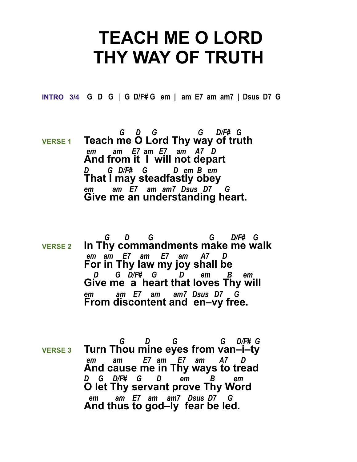## **TEACH ME O LORD THY WAY OF TRUTH**

**INTRO 3/4 G D G | G D/F# G em | am E7 am am7 | Dsus D7 G** 

- *G D G G D/F# G*  **VERSE 1** Teach me O Lord Thy way of truth *em am E7 am E7 am A7 D*  **And from it I will not depart** *D G D/F# G D em B em*  **That I may steadfastly obey** *em am E7 am am7 Dsus D7 G*  **Give me an understanding heart.**
- *G D G G D/F# G*  **VERSE 2 In Thy commandments make me walk**  *em am E7 am E7 am A7 D*  **For in Thy law my joy shall be**  *D G D/F# G D em B em*  **Give me a heart that loves Thy will** *em am E7 am am7 Dsus D7 G*  **From discontent and en–vy free.**
- *G D G G D/F# G*  **VERSE 3 Turn Thou mine eyes from van–i–ty**  *em am E7 am E7 am A7 D*  **And cause me in Thy ways to tread** *D G D/F# G D em B em*  **O let Thy servant prove Thy Word**  *em am E7 am am7 Dsus D7 G*  **And thus to god–ly fear be led.**